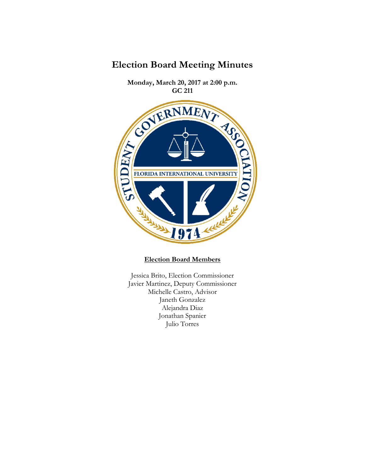

JI7 at 211 **Monday, March 20, 2017 at 2:00 p.m.**  RESITY OF CHAIRS FLORIDA INTERNATIONAL UNIVERSITY **Refilt** 1974

**Election Board Members**

Jessica Brito, Election Commissioner Javier Martinez, Deputy Commissioner Michelle Castro, Advisor Janeth Gonzalez Alejandra Diaz Jonathan Spanier Julio Torres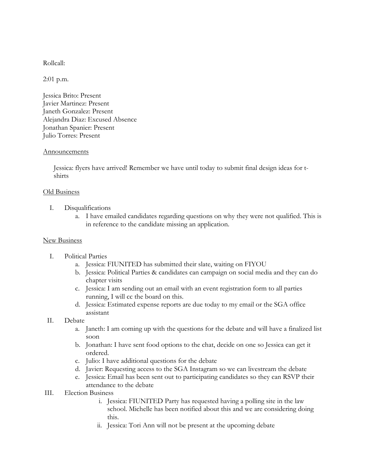Rollcall:

2:01 p.m.

Jessica Brito: Present Javier Martinez: Present Janeth Gonzalez: Present Alejandra Diaz: Excused Absence Jonathan Spanier: Present Julio Torres: Present

## Announcements

Jessica: flyers have arrived! Remember we have until today to submit final design ideas for tshirts

## Old Business

- I. Disqualifications
	- a. I have emailed candidates regarding questions on why they were not qualified. This is in reference to the candidate missing an application.

## New Business

- I. Political Parties
	- a. Jessica: FIUNITED has submitted their slate, waiting on FIYOU
	- b. Jessica: Political Parties & candidates can campaign on social media and they can do chapter visits
	- c. Jessica: I am sending out an email with an event registration form to all parties running, I will cc the board on this.
	- d. Jessica: Estimated expense reports are due today to my email or the SGA office assistant

## II. Debate

- a. Janeth: I am coming up with the questions for the debate and will have a finalized list soon
- b. Jonathan: I have sent food options to the chat, decide on one so Jessica can get it ordered.
- c. Julio: I have additional questions for the debate
- d. Javier: Requesting access to the SGA Instagram so we can livestream the debate
- e. Jessica: Email has been sent out to participating candidates so they can RSVP their attendance to the debate
- III. Election Business
	- i. Jessica: FIUNITED Party has requested having a polling site in the law school. Michelle has been notified about this and we are considering doing this.
	- ii. Jessica: Tori Ann will not be present at the upcoming debate